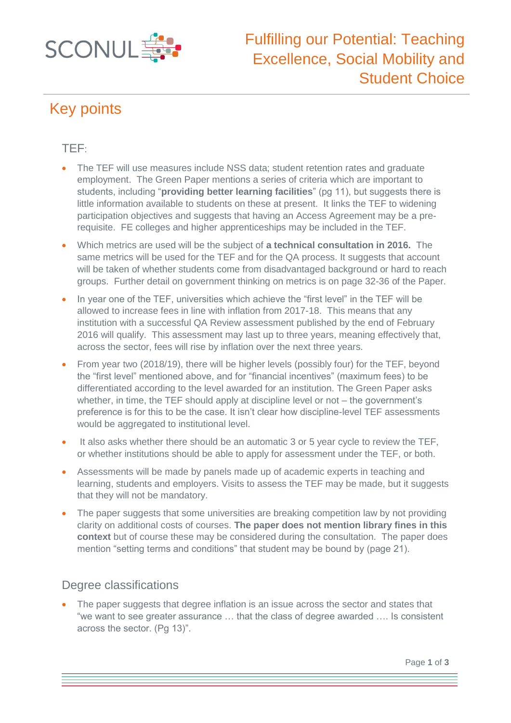

# Key points

### TEF:

- The TEF will use measures include NSS data; student retention rates and graduate employment. The Green Paper mentions a series of criteria which are important to students, including "**providing better learning facilities**" (pg 11), but suggests there is little information available to students on these at present. It links the TEF to widening participation objectives and suggests that having an Access Agreement may be a prerequisite. FE colleges and higher apprenticeships may be included in the TEF.
- Which metrics are used will be the subject of **a technical consultation in 2016.** The same metrics will be used for the TEF and for the QA process. It suggests that account will be taken of whether students come from disadvantaged background or hard to reach groups. Further detail on government thinking on metrics is on page 32-36 of the Paper.
- In year one of the TEF, universities which achieve the "first level" in the TEF will be allowed to increase fees in line with inflation from 2017-18. This means that any institution with a successful QA Review assessment published by the end of February 2016 will qualify. This assessment may last up to three years, meaning effectively that, across the sector, fees will rise by inflation over the next three years.
- From year two (2018/19), there will be higher levels (possibly four) for the TEF, beyond the "first level" mentioned above, and for "financial incentives" (maximum fees) to be differentiated according to the level awarded for an institution. The Green Paper asks whether, in time, the TEF should apply at discipline level or not – the government's preference is for this to be the case. It isn't clear how discipline-level TEF assessments would be aggregated to institutional level.
- It also asks whether there should be an automatic 3 or 5 year cycle to review the TEF, or whether institutions should be able to apply for assessment under the TEF, or both.
- Assessments will be made by panels made up of academic experts in teaching and learning, students and employers. Visits to assess the TEF may be made, but it suggests that they will not be mandatory.
- The paper suggests that some universities are breaking competition law by not providing clarity on additional costs of courses. **The paper does not mention library fines in this context** but of course these may be considered during the consultation. The paper does mention "setting terms and conditions" that student may be bound by (page 21).

#### Degree classifications

 The paper suggests that degree inflation is an issue across the sector and states that "we want to see greater assurance … that the class of degree awarded …. Is consistent across the sector. (Pg 13)".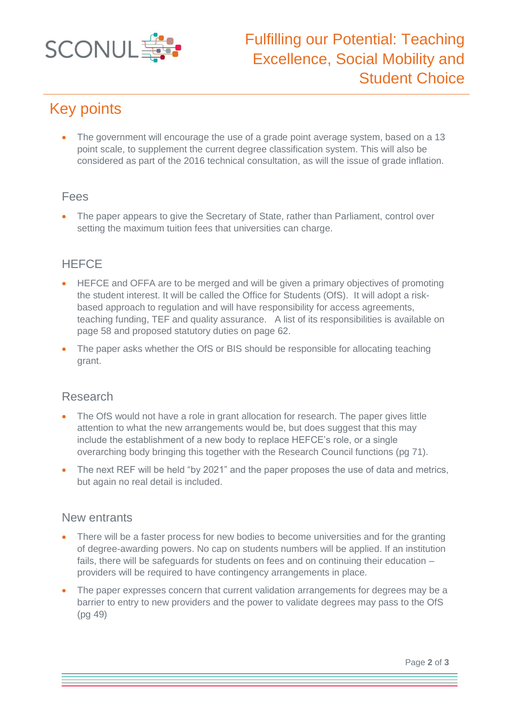

# Key points

• The government will encourage the use of a grade point average system, based on a 13 point scale, to supplement the current degree classification system. This will also be considered as part of the 2016 technical consultation, as will the issue of grade inflation.

#### Fees

• The paper appears to give the Secretary of State, rather than Parliament, control over setting the maximum tuition fees that universities can charge.

### **HEFCE**

- HEFCE and OFFA are to be merged and will be given a primary objectives of promoting the student interest. It will be called the Office for Students (OfS). It will adopt a riskbased approach to regulation and will have responsibility for access agreements, teaching funding, TEF and quality assurance. A list of its responsibilities is available on page 58 and proposed statutory duties on page 62.
- The paper asks whether the OfS or BIS should be responsible for allocating teaching grant.

#### Research

- The OfS would not have a role in grant allocation for research. The paper gives little attention to what the new arrangements would be, but does suggest that this may include the establishment of a new body to replace HEFCE's role, or a single overarching body bringing this together with the Research Council functions (pg 71).
- The next REF will be held "by 2021" and the paper proposes the use of data and metrics, but again no real detail is included.

#### New entrants

- There will be a faster process for new bodies to become universities and for the granting of degree-awarding powers. No cap on students numbers will be applied. If an institution fails, there will be safeguards for students on fees and on continuing their education – providers will be required to have contingency arrangements in place.
- The paper expresses concern that current validation arrangements for degrees may be a barrier to entry to new providers and the power to validate degrees may pass to the OfS (pg 49)

Page **2** of **3**